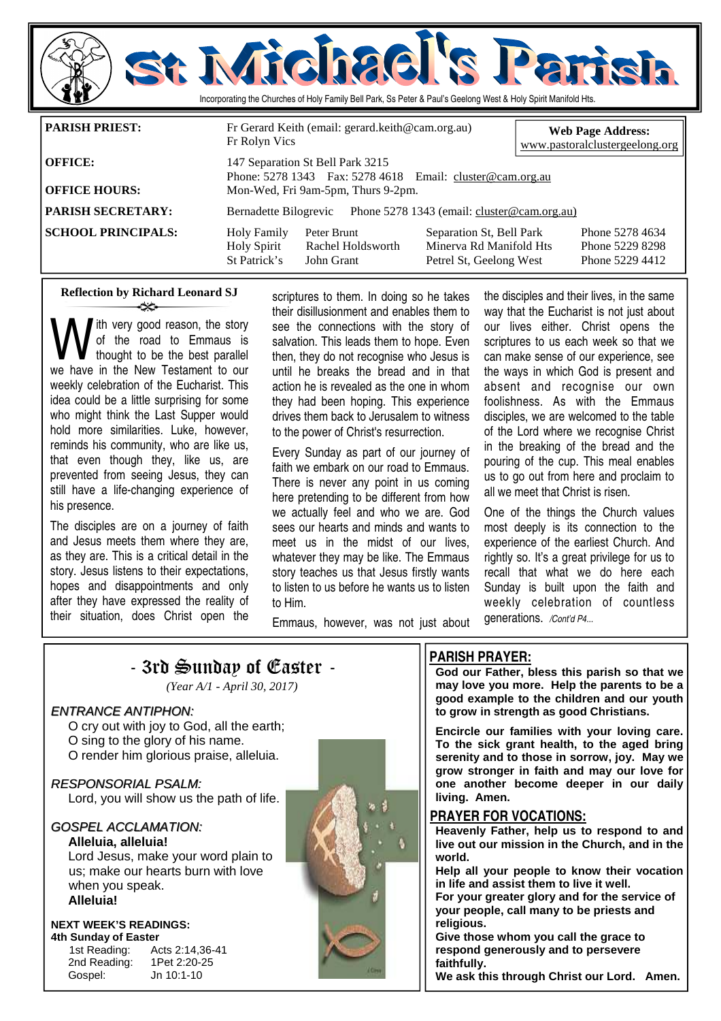

### **Reflection by Richard Leonard SJ**  ન્≫

ith very good reason, the story of the road to Emmaus is thought to be the best parallel we have in the New Testament to our weekly celebration of the Eucharist. This idea could be a little surprising for some who might think the Last Supper would hold more similarities. Luke, however, reminds his community, who are like us, that even though they, like us, are prevented from seeing Jesus, they can still have a life-changing experience of his presence.

The disciples are on a journey of faith and Jesus meets them where they are, as they are. This is a critical detail in the story. Jesus listens to their expectations, hopes and disappointments and only after they have expressed the reality of their situation, does Christ open the

scriptures to them. In doing so he takes their disillusionment and enables them to see the connections with the story of salvation. This leads them to hope. Even then, they do not recognise who Jesus is until he breaks the bread and in that action he is revealed as the one in whom they had been hoping. This experience drives them back to Jerusalem to witness to the power of Christ's resurrection.

Every Sunday as part of our journey of faith we embark on our road to Emmaus. There is never any point in us coming here pretending to be different from how we actually feel and who we are. God sees our hearts and minds and wants to meet us in the midst of our lives, whatever they may be like. The Emmaus story teaches us that Jesus firstly wants to listen to us before he wants us to listen to Him.

the disciples and their lives, in the same way that the Eucharist is not just about our lives either. Christ opens the scriptures to us each week so that we can make sense of our experience, see the ways in which God is present and absent and recognise our own foolishness. As with the Emmaus disciples, we are welcomed to the table of the Lord where we recognise Christ in the breaking of the bread and the pouring of the cup. This meal enables us to go out from here and proclaim to all we meet that Christ is risen.

One of the things the Church values most deeply is its connection to the experience of the earliest Church. And rightly so. It's a great privilege for us to recall that what we do here each Sunday is built upon the faith and weekly celebration of countless generations. */Cont'd P4...* 

Emmaus, however, was not just about



## **PARISH PRAYER:**

**God our Father, bless this parish so that we may love you more. Help the parents to be a good example to the children and our youth to grow in strength as good Christians.** 

**Encircle our families with your loving care. To the sick grant health, to the aged bring serenity and to those in sorrow, joy. May we grow stronger in faith and may our love for one another become deeper in our daily living. Amen.** 

### **PRAYER FOR VOCATIONS:**

**Heavenly Father, help us to respond to and live out our mission in the Church, and in the world.** 

**Help all your people to know their vocation in life and assist them to live it well.** 

**For your greater glory and for the service of your people, call many to be priests and religious.** 

**Give those whom you call the grace to respond generously and to persevere faithfully.** 

**We ask this through Christ our Lord. Amen.**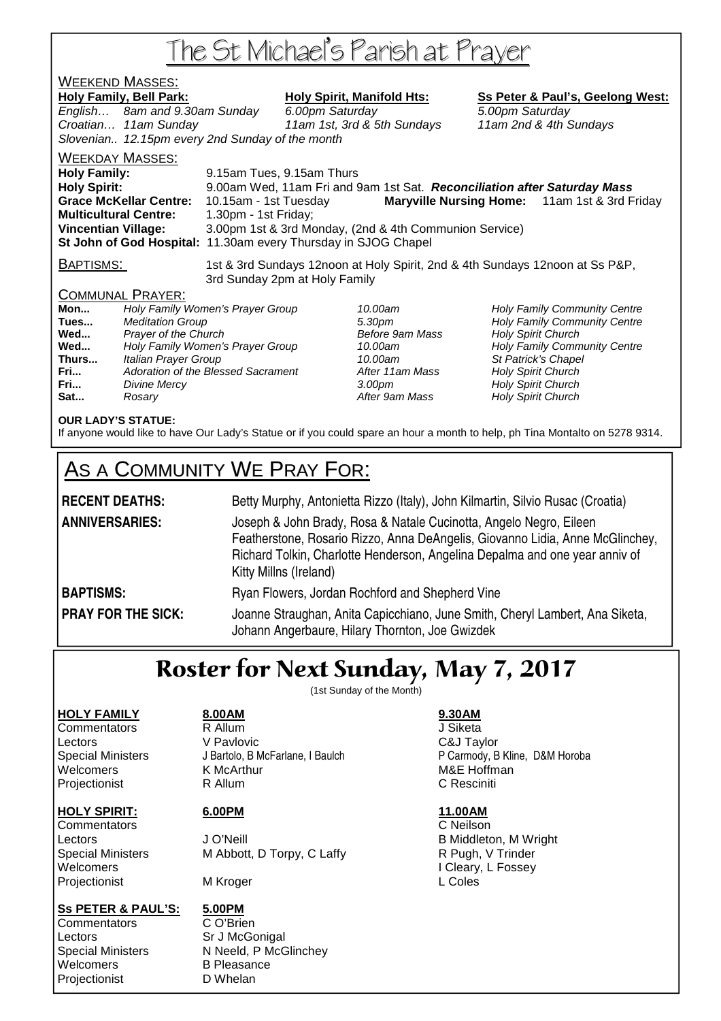# The St Michael's Parish at Prayer

# WEEKEND MASSES:

Holy Family, Bell Park: Holy Spirit, Manifold Hts: Ss Peter & Paul's, Geelong West: English… 8am and 9.30am Sunday 6.00pm Saturday 5.00pm Saturday Croatian… 11am Sunday 11am 1st, 3rd & 5th Sundays 11am 2nd & 4th Sundays Slovenian.. 12.15pm every 2nd Sunday of the month WEEKDAY MASSES: **Holy Family:** 9.15am Tues, 9.15am Thurs

**Holy Spirit:** 9.00am Wed, 11am Fri and 9am 1st Sat. **Reconciliation after Saturday Mass Grace McKellar Centre:** 10.15am - 1st Tuesday **Maryville Nursing Home:** 11am 1st & 3rd Friday **Multicultural Centre:** 1.30pm - 1st Friday; **Vincentian Village:** 3.00pm 1st & 3rd Monday, (2nd & 4th Communion Service) **St John of God Hospital:** 11.30am every Thursday in SJOG Chapel

BAPTISMS: 1st & 3rd Sundays 12noon at Holy Spirit, 2nd & 4th Sundays 12noon at Ss P&P, 3rd Sunday 2pm at Holy Family

## COMMUNAL PRAYER:

| Holy Family Women's Prayer Group   |
|------------------------------------|
| <b>Meditation Group</b>            |
| Prayer of the Church               |
| Holy Family Women's Prayer Group   |
| Italian Prayer Group               |
| Adoration of the Blessed Sacrament |
| <b>Divine Mercy</b>                |
| Rosarv                             |
|                                    |

**After 11am Mass Holy Spirit Church** After 9am Mass **Holy Spirit Church** 

10.00am **Holy Family Community Centre Tues 30pm Holy Family Community Centre Before 9am Mass Holy Spirit Church Before 9am Mass Holy Spirit Church** 10.00am **Holy Family Community Centre** 10.00am St Patrick's Chapel **Franch 3.00pm** Holy Spirit Church

## **OUR LADY'S STATUE:**

If anyone would like to have Our Lady's Statue or if you could spare an hour a month to help, ph Tina Montalto on 5278 9314.

# AS A COMMUNITY WE PRAY FOR:

# RECENT DEATHS: **Betty Murphy, Antonietta Rizzo (Italy)**, John Kilmartin, Silvio Rusac (Croatia) **ANNIVERSARIES:** Joseph & John Brady, Rosa & Natale Cucinotta, Angelo Negro, Eileen Featherstone, Rosario Rizzo, Anna DeAngelis, Giovanno Lidia, Anne McGlinchey, Richard Tolkin, Charlotte Henderson, Angelina Depalma and one year anniv of Kitty Millns (Ireland) **BAPTISMS:** Ryan Flowers, Jordan Rochford and Shepherd Vine **PRAY FOR THE SICK:** Joanne Straughan, Anita Capicchiano, June Smith, Cheryl Lambert, Ana Siketa, Johann Angerbaure, Hilary Thornton, Joe Gwizdek

# Roster for Next Sunday, May 7, 2017

(1st Sunday of the Month)

# **HOLY FAMILY 8.00AM 9.30AM**

Commentators R Allum J Siketa Lectors V Pavlovic C&J Taylor Welcomers **K McArthur MAC 1999** M&E Hoffman Projectionist R Allum C Resciniti

Projectionist MKroger MAI MAI L Coles

## **Ss PETER & PAUL'S: 5.00PM**

Commentators C O'Brien Lectors Sr J McGonigal Welcomers B Pleasance Projectionist D Whelan

**HOLY SPIRIT: 6.00PM 11.00AM** Commentators C Neilson

Lectors **Contact Contact Contact Contact Contact Contact Contact Contact Contact Contact Contact Contact Contact Contact Contact Contact Contact Contact Contact Contact Contact Contact Contact Contact Contact Contact Conta** Special Ministers M Abbott, D Torpy, C Laffy **R** Pugh, V Trinder Welcomers I Cleary, L Fossey

Special Ministers N Neeld, P McGlinchey

Special Ministers J Bartolo, B McFarlane, I Baulch P Carmody, B Kline, D&M Horoba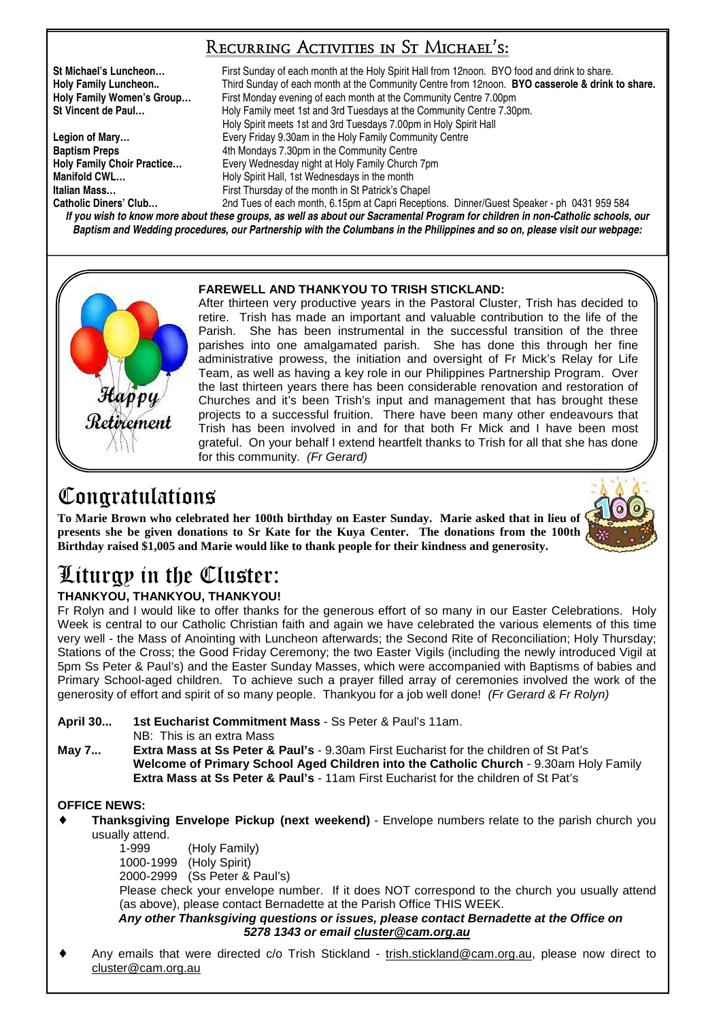# Recurring Activities in St Michael's:

**St Michael's Luncheon…** First Sunday of each month at the Holy Spirit Hall from 12noon. BYO food and drink to share. **Holy Family Luncheon..** Third Sunday of each month at the Community Centre from 12noon. **BYO casserole & drink to share. Holy Family Women's Group…** First Monday evening of each month at the Community Centre 7.00pm **St Vincent de Paul…** Holy Family meet 1st and 3rd Tuesdays at the Community Centre 7.30pm. Holy Spirit meets 1st and 3rd Tuesdays 7.00pm in Holy Spirit Hall Legion of Mary... **Exery Friday 9.30am in the Holy Family Community Centre Baptism Preps 4th Mondays 7.30pm in the Community Centre Holy Family Choir Practice…** Every Wednesday night at Holy Family Church 7pm **Manifold CWL... Holy Spirit Hall, 1st Wednesdays in the month Italian Mass... First Thursday of the month in St Patrick's Chapel Catholic Diners' Club…** 2nd Tues of each month, 6.15pm at Capri Receptions. Dinner/Guest Speaker - ph 0431 959 584

**If you wish to know more about these groups, as well as about our Sacramental Program for children in non-Catholic schools, our Baptism and Wedding procedures, our Partnership with the Columbans in the Philippines and so on, please visit our webpage:** 

## **FAREWELL AND THANKYOU TO TRISH STICKLAND:**

After thirteen very productive years in the Pastoral Cluster, Trish has decided to retire. Trish has made an important and valuable contribution to the life of the Parish. She has been instrumental in the successful transition of the three parishes into one amalgamated parish. She has done this through her fine administrative prowess, the initiation and oversight of Fr Mick's Relay for Life Team, as well as having a key role in our Philippines Partnership Program. Over the last thirteen years there has been considerable renovation and restoration of Churches and it's been Trish's input and management that has brought these projects to a successful fruition. There have been many other endeavours that Trish has been involved in and for that both Fr Mick and I have been most grateful. On your behalf I extend heartfelt thanks to Trish for all that she has done for this community. (Fr Gerard)

# Congratulations

**To Marie Brown who celebrated her 100th birthday on Easter Sunday. Marie asked that in lieu of presents she be given donations to Sr Kate for the Kuya Center. The donations from the 100th Birthday raised \$1,005 and Marie would like to thank people for their kindness and generosity.** 

# Liturgy in the Cluster:

# **THANKYOU, THANKYOU, THANKYOU!**

Fr Rolyn and I would like to offer thanks for the generous effort of so many in our Easter Celebrations. Holy Week is central to our Catholic Christian faith and again we have celebrated the various elements of this time very well - the Mass of Anointing with Luncheon afterwards; the Second Rite of Reconciliation; Holy Thursday; Stations of the Cross; the Good Friday Ceremony; the two Easter Vigils (including the newly introduced Vigil at 5pm Ss Peter & Paul's) and the Easter Sunday Masses, which were accompanied with Baptisms of babies and Primary School-aged children. To achieve such a prayer filled array of ceremonies involved the work of the generosity of effort and spirit of so many people. Thankyou for a job well done! (Fr Gerard & Fr Rolyn)

**April 30... 1st Eucharist Commitment Mass** - Ss Peter & Paul's 11am.

NB: This is an extra Mass

**May 7... Extra Mass at Ss Peter & Paul's** - 9.30am First Eucharist for the children of St Pat's **Welcome of Primary School Aged Children into the Catholic Church** - 9.30am Holy Family **Extra Mass at Ss Peter & Paul's** - 11am First Eucharist for the children of St Pat's

# **OFFICE NEWS:**

**Thanksgiving Envelope Pickup (next weekend)** - Envelope numbers relate to the parish church you usually attend.

 1-999 (Holy Family) 1000-1999 (Holy Spirit) 2000-2999 (Ss Peter & Paul's)

 Please check your envelope number. If it does NOT correspond to the church you usually attend (as above), please contact Bernadette at the Parish Office THIS WEEK.

### **Any other Thanksgiving questions or issues, please contact Bernadette at the Office on 5278 1343 or email cluster@cam.org.au**

Any emails that were directed c/o Trish Stickland - trish.stickland@cam.org.au, please now direct to cluster@cam.org.au